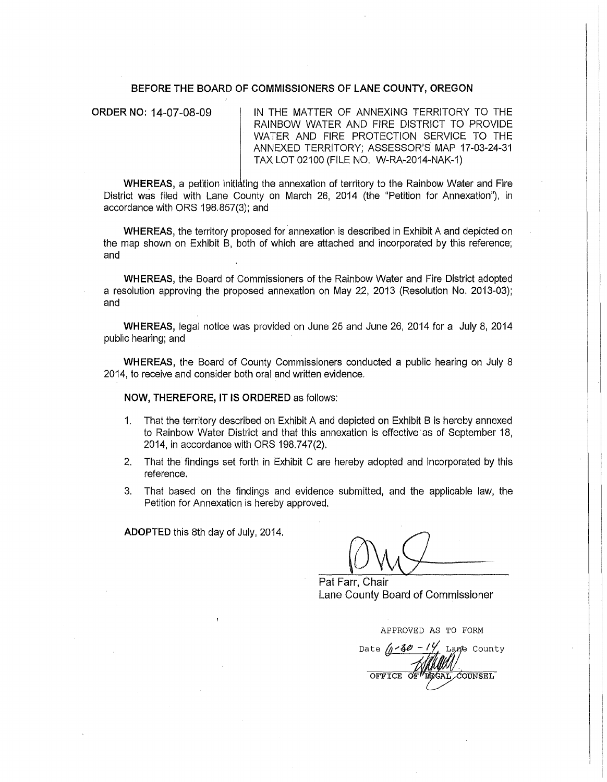#### **BEFORE THE BOARD OF COMMISSIONERS OF LANE COUNTY, OREGON**

**ORDER NO: 14-07-08-09 IN THE MATTER OF ANNEXING TERRITORY TO THE** RAINBOW WATER AND FIRE DISTRICT TO PROVIDE WATER AND FIRE PROTECTION SERVICE TO THE ANNEXED TERRITORY; ASSESSOR'S MAP 17-03-24-31 TAX LOT 02100 (FILE NO. W-RA-2014-NAK-1)

**WHEREAS, a petition initiating the annexation of territory to the Rainbow Water and Fire** District was filed with Lane County on March 26, 2014 (the "Petition for Annexation"), in accordance with ORS 198.857(3); and

**WHEREAS,** the territory proposed for annexation is described in Exhibit A and depicted on the map shown on Exhibit B, both of which are attached and incorporated by this reference; and

**WHEREAS,** the Board of Commissioners of the Rainbow Water and Fire District adopted a resolution approving the proposed annexation on May 22, 2013 (Resolution No. 2013-03); and

**WHEREAS,** legal notice was provided on June 25 and June 26, 2014 for a July 8, 2014 public hearing; and

**WHEREAS,** the Board of County Commissioners conducted a public hearing on July 8 2014, to receive and consider both oral and written evidence.

**NOW, THEREFORE,** IT IS **ORDERED** as follows:

- 1. That the territory described on Exhibit A and depicted on Exhibit B is hereby annexed to Rainbow Water District and that this annexation is effective· as of September 18, 2014, in accordance with ORS 198.747(2).
- 2. That the findings set forth in Exhibit C are hereby adopted and incorporated by this reference.
- 3. That based on the findings and evidence submitted, and the applicable law, the Petition for Annexation is hereby approved.

**ADOPTED** this 8th day of July, 2014.

Pat Farr, Chair Lane County Board of Commissioner

APPROVED AS TO FORM

Date  $\sqrt{2.3}$ Lane County **COUNSEL** OFFICE OF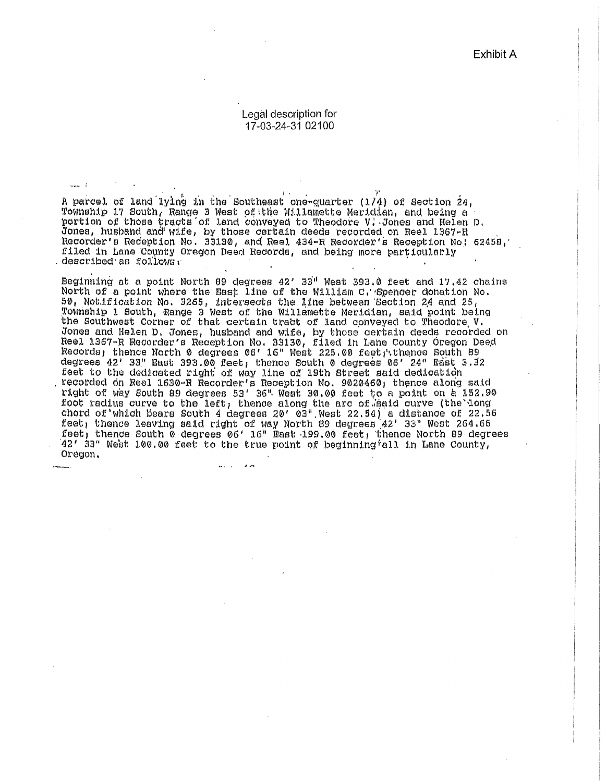Exhibit A

#### Legal description for 17-03-24-31 02100

A parcel of land lying in the Southeast one-quarter (1/4) of Section 24, Township 17 South, Range 3 West of the Willamette Meridian, and being a portion of those tracts of land conveyed to Theodore V. Jones and Helen D. Jones, husband and wife, by those certain deeds recorded on Reel 1367-R<br>Recorder's Reception No. 33130, and Reel 434-R Recorder's Reception No: 62458, filed in Lane County Oregon Deed Records, and being more particularly described as follows.

 $\sim$   $\sim$   $\sim$   $\sim$ 

Beginning at a point North 89 degrees 42' 33" West 393.0 feet and 17.42 chains North of a point where the East line of the William C. Spencer donation No.<br>50, Notification No. 3265, intersects the line between Section 24 and 25,<br>Township 1 South, Range 3 West of the Willamette Meridian, said point be the Southwest Corner of that certain tract of land conveyed to Theodore V. Jones and Helen D, Jones, husband and wife, by those certain deeds recorded on Reel 1367-R Recorder's Reception No. 33130, filed in Lane County Oregon Deed<br>Records, thence North 0 degrees 06' 16" West 225.00 feet, thence South 89<br>degrees 42' 33" East 393.00 feet, thence South 0 degrees 06' 24" East 3 feet to the dedicated right of way line of 19th Street said dedication<br>recorded on Reel 1530-R Recorder's Reception No. 9020460, thence along said<br>right of way South 89 degrees 53' 36" West 30.00 feet to a point on a 152.9 foot radius curve to the left, thence along the arc of said curve (the long chord of which bears South 4 degrees 20' 03" West 22.54) a distance of 22.56 feet, thence leaving said right of way North 89 degrees  $42'$  33" West 264.66 feet, thence South 0 degrees 06' 16" Mast 199.00 feet, thence North 89 degrees 42' 33" West 100.00 feet to the true point of beginning all in Lane County, Oregon.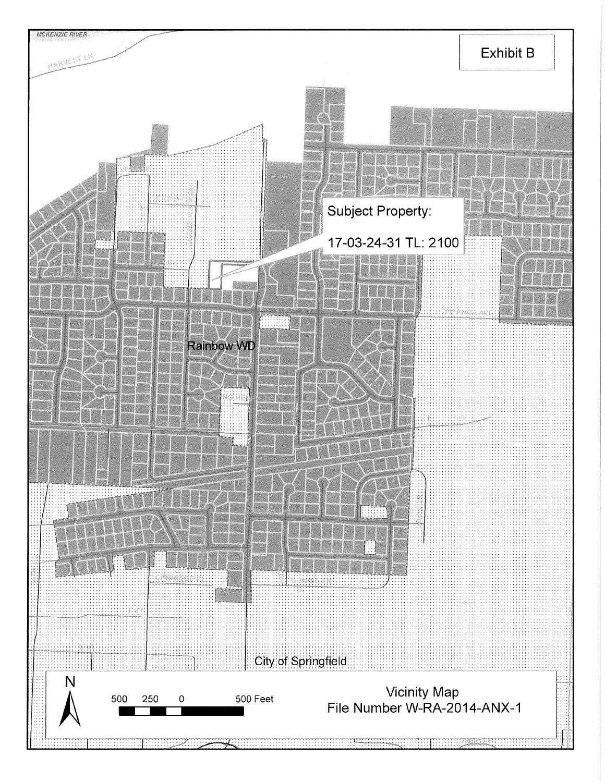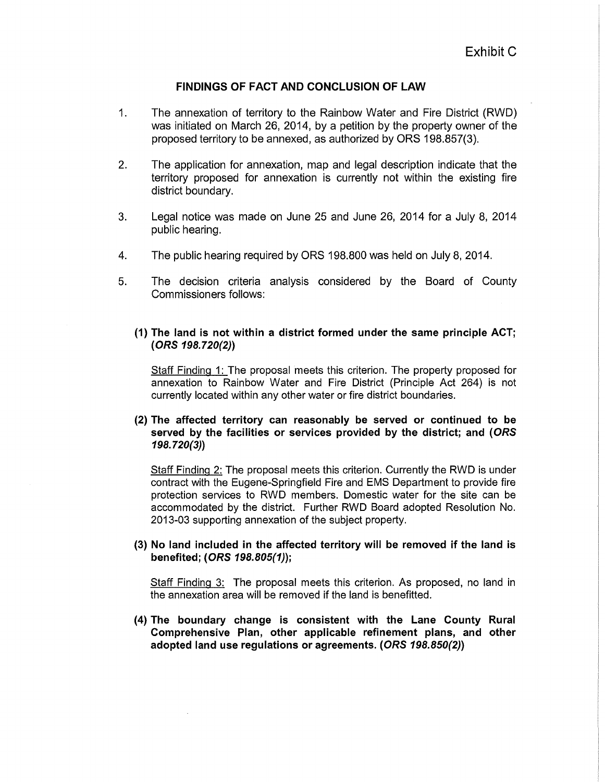# **FINDINGS OF FACT AND CONCLUSION OF LAW**

- 1. The annexation of territory to the Rainbow Water and Fire District (RWD) was initiated on March 26, 2014, by a petition by the property owner of the proposed territory to be annexed, as authorized by ORS 198.857(3).
- 2. The application for annexation, map and legal description indicate that the territory proposed for annexation is currently not within the existing fire district boundary.
- 3. Legal notice was made on June 25 and June 26, 2014 for a July 8, 2014 public hearing.
- 4. The public hearing required by ORS 198.800 was held on July 8, 2014.
- 5. The decision criteria analysis considered by the Board of County Commissioners follows:
	- **(1) The land is not within a district formed under the same principle ACT; (ORS 198.720(2))**

Staff Finding 1: The proposal meets this criterion. The property proposed for annexation to Rainbow Water and Fire District (Principle Act 264) is not currently located within any other water or fire district boundaries.

### **(2) The affected territory can reasonably be served or continued to be served by the facilities or services provided by the district; and ( ORS 198.720(3))**

Staff Finding 2: The proposal meets this criterion. Currently the RWD is under contract with the Eugene-Springfield Fire and EMS Department to provide fire protection services to RWD members. Domestic water for the site can be accommodated by the district. Further RWD Board adopted Resolution No. 2013-03 supporting annexation of the subject property.

(3) **No land included in the affected territory will be removed if the land is benefited; (ORS 198.805(1));** 

Staff Finding 3: The proposal meets this criterion. As proposed, no land in the annexation area will be removed if the land is benefitted.

**(4) The boundary change is consistent with the Lane County Rural Comprehensive Plan, other applicable refinement plans, and other adopted land use regulations or agreements. (ORS 198.850(2))**